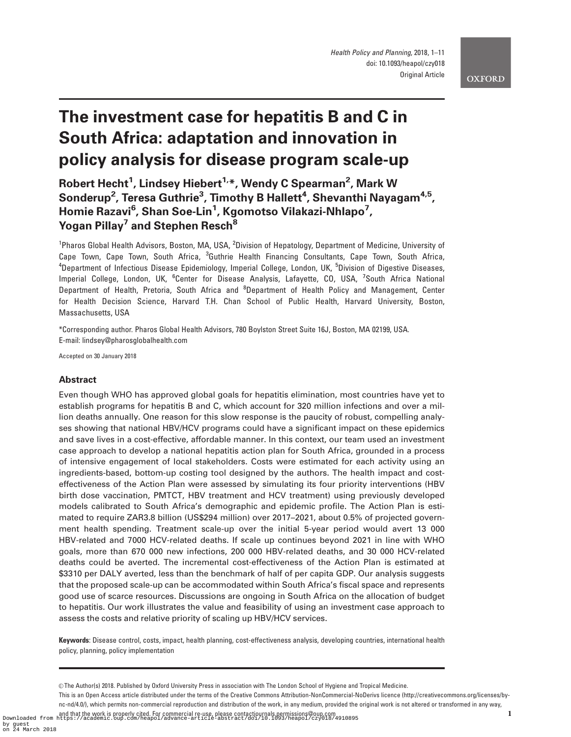# The investment case for hepatitis B and C in South Africa: adaptation and innovation in policy analysis for disease program scale-up

# Robert Hecht<sup>1</sup>, Lindsey Hiebert<sup>1,</sup>\*, Wendy C Spearman<sup>2</sup>, Mark W  $\mathsf{Sonderup}^2$ , Teresa  $\mathsf{Guthrie}^3$ , Timothy B Hallett $^4$ , Shevanthi Nayagam $^{4,5}$ , Homie Razavi<sup>6</sup>, Shan Soe-Lin<sup>1</sup>, Kgomotso Vilakazi-Nhlapo<sup>7</sup>, Yogan Pillay<sup>7</sup> and Stephen Resch<sup>8</sup>

<sup>1</sup>Pharos Global Health Advisors, Boston, MA, USA, <sup>2</sup>Division of Hepatology, Department of Medicine, University of Cape Town, Cape Town, South Africa, <sup>3</sup>Guthrie Health Financing Consultants, Cape Town, South Africa, <sup>4</sup>Department of Infectious Disease Epidemiology, Imperial College, London, UK, <sup>5</sup>Division of Digestive Diseases, Imperial College, London, UK, <sup>6</sup>Center for Disease Analysis, Lafayette, CO, USA, <sup>7</sup>South Africa National Department of Health, Pretoria, South Africa and <sup>8</sup>Department of Health Policy and Management, Center for Health Decision Science, Harvard T.H. Chan School of Public Health, Harvard University, Boston, Massachusetts, USA

\*Corresponding author. Pharos Global Health Advisors, 780 Boylston Street Suite 16J, Boston, MA 02199, USA. E-mail: lindsey@pharosglobalhealth.com

Accepted on 30 January 2018

### Abstract

Even though WHO has approved global goals for hepatitis elimination, most countries have yet to establish programs for hepatitis B and C, which account for 320 million infections and over a million deaths annually. One reason for this slow response is the paucity of robust, compelling analyses showing that national HBV/HCV programs could have a significant impact on these epidemics and save lives in a cost-effective, affordable manner. In this context, our team used an investment case approach to develop a national hepatitis action plan for South Africa, grounded in a process of intensive engagement of local stakeholders. Costs were estimated for each activity using an ingredients-based, bottom-up costing tool designed by the authors. The health impact and costeffectiveness of the Action Plan were assessed by simulating its four priority interventions (HBV birth dose vaccination, PMTCT, HBV treatment and HCV treatment) using previously developed models calibrated to South Africa's demographic and epidemic profile. The Action Plan is estimated to require ZAR3.8 billion (US\$294 million) over 2017–2021, about 0.5% of projected government health spending. Treatment scale-up over the initial 5-year period would avert 13 000 HBV-related and 7000 HCV-related deaths. If scale up continues beyond 2021 in line with WHO goals, more than 670 000 new infections, 200 000 HBV-related deaths, and 30 000 HCV-related deaths could be averted. The incremental cost-effectiveness of the Action Plan is estimated at \$3310 per DALY averted, less than the benchmark of half of per capita GDP. Our analysis suggests that the proposed scale-up can be accommodated within South Africa's fiscal space and represents good use of scarce resources. Discussions are ongoing in South Africa on the allocation of budget to hepatitis. Our work illustrates the value and feasibility of using an investment case approach to assess the costs and relative priority of scaling up HBV/HCV services.

Keywords: Disease control, costs, impact, health planning, cost-effectiveness analysis, developing countries, international health policy, planning, policy implementation

This is an Open Access article distributed under the terms of the Creative Commons Attribution-NonCommercial-NoDerivs licence (http://creativecommons.org/licenses/bync-nd/4.0/), which permits non-commercial reproduction and distribution of the work, in any medium, provided the original work is not altered or transformed in any way,

V<sup>C</sup> The Author(s) 2018. Published by Oxford University Press in association with The London School of Hygiene and Tropical Medicine.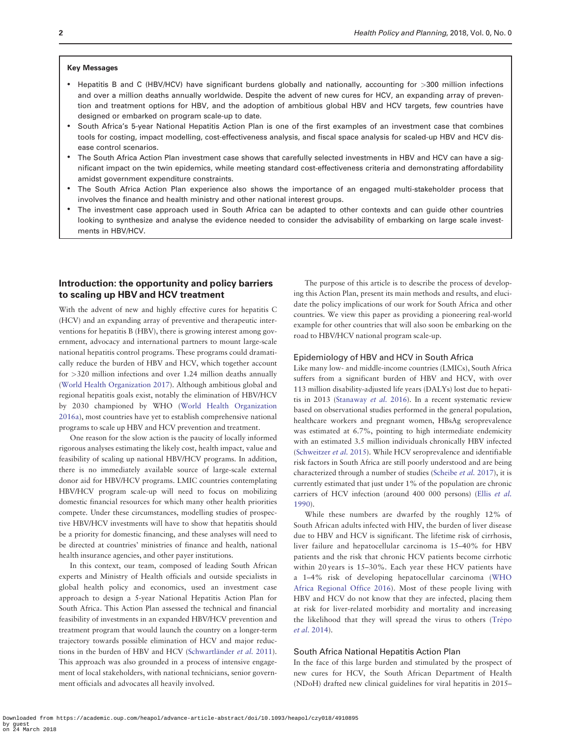#### Key Messages

- Hepatitis B and C (HBV/HCV) have significant burdens globally and nationally, accounting for >300 million infections and over a million deaths annually worldwide. Despite the advent of new cures for HCV, an expanding array of prevention and treatment options for HBV, and the adoption of ambitious global HBV and HCV targets, few countries have designed or embarked on program scale-up to date.
- South Africa's 5-year National Hepatitis Action Plan is one of the first examples of an investment case that combines tools for costing, impact modelling, cost-effectiveness analysis, and fiscal space analysis for scaled-up HBV and HCV disease control scenarios.
- The South Africa Action Plan investment case shows that carefully selected investments in HBV and HCV can have a significant impact on the twin epidemics, while meeting standard cost-effectiveness criteria and demonstrating affordability amidst government expenditure constraints.
- The South Africa Action Plan experience also shows the importance of an engaged multi-stakeholder process that involves the finance and health ministry and other national interest groups.
- The investment case approach used in South Africa can be adapted to other contexts and can guide other countries looking to synthesize and analyse the evidence needed to consider the advisability of embarking on large scale investments in HBV/HCV.

# Introduction: the opportunity and policy barriers to scaling up HBV and HCV treatment

With the advent of new and highly effective cures for hepatitis C (HCV) and an expanding array of preventive and therapeutic interventions for hepatitis B (HBV), there is growing interest among government, advocacy and international partners to mount large-scale national hepatitis control programs. These programs could dramatically reduce the burden of HBV and HCV, which together account for >320 million infections and over 1.24 million deaths annually ([World Health Organization 2017](#page-10-0)). Although ambitious global and regional hepatitis goals exist, notably the elimination of HBV/HCV by 2030 championed by WHO ([World Health Organization](#page-10-0) [2016a\)](#page-10-0), most countries have yet to establish comprehensive national programs to scale up HBV and HCV prevention and treatment.

One reason for the slow action is the paucity of locally informed rigorous analyses estimating the likely cost, health impact, value and feasibility of scaling up national HBV/HCV programs. In addition, there is no immediately available source of large-scale external donor aid for HBV/HCV programs. LMIC countries contemplating HBV/HCV program scale-up will need to focus on mobilizing domestic financial resources for which many other health priorities compete. Under these circumstances, modelling studies of prospective HBV/HCV investments will have to show that hepatitis should be a priority for domestic financing, and these analyses will need to be directed at countries' ministries of finance and health, national health insurance agencies, and other payer institutions.

In this context, our team, composed of leading South African experts and Ministry of Health officials and outside specialists in global health policy and economics, used an investment case approach to design a 5-year National Hepatitis Action Plan for South Africa. This Action Plan assessed the technical and financial feasibility of investments in an expanded HBV/HCV prevention and treatment program that would launch the country on a longer-term trajectory towards possible elimination of HCV and major reductions in the burden of HBV and HCV (Schwartländer et al. 2011). This approach was also grounded in a process of intensive engagement of local stakeholders, with national technicians, senior government officials and advocates all heavily involved.

The purpose of this article is to describe the process of developing this Action Plan, present its main methods and results, and elucidate the policy implications of our work for South Africa and other countries. We view this paper as providing a pioneering real-world example for other countries that will also soon be embarking on the road to HBV/HCV national program scale-up.

#### Epidemiology of HBV and HCV in South Africa

Like many low- and middle-income countries (LMICs), South Africa suffers from a significant burden of HBV and HCV, with over 113 million disability-adjusted life years (DALYs) lost due to hepatitis in 2013 ([Stanaway](#page-10-0) et al. 2016). In a recent systematic review based on observational studies performed in the general population, healthcare workers and pregnant women, HBsAg seroprevalence was estimated at 6.7%, pointing to high intermediate endemicity with an estimated 3.5 million individuals chronically HBV infected ([Schweitzer](#page-10-0) et al. 2015). While HCV seroprevalence and identifiable risk factors in South Africa are still poorly understood and are being characterized through a number of studies ([Scheibe](#page-9-0) et al. 2017), it is currently estimated that just under 1% of the population are chronic carriers of HCV infection (around 400 000 persons) (Ellis [et al.](#page-9-0) [1990\)](#page-9-0).

While these numbers are dwarfed by the roughly 12% of South African adults infected with HIV, the burden of liver disease due to HBV and HCV is significant. The lifetime risk of cirrhosis, liver failure and hepatocellular carcinoma is 15–40% for HBV patients and the risk that chronic HCV patients become cirrhotic within 20 years is 15–30%. Each year these HCV patients have a 1–4% risk of developing hepatocellular carcinoma ([WHO](#page-10-0) [Africa Regional Office 2016](#page-10-0)). Most of these people living with HBV and HCV do not know that they are infected, placing them at risk for liver-related morbidity and mortality and increasing the likelihood that they will spread the virus to others (Trépo et al. [2014](#page-10-0)).

#### South Africa National Hepatitis Action Plan

In the face of this large burden and stimulated by the prospect of new cures for HCV, the South African Department of Health (NDoH) drafted new clinical guidelines for viral hepatitis in 2015–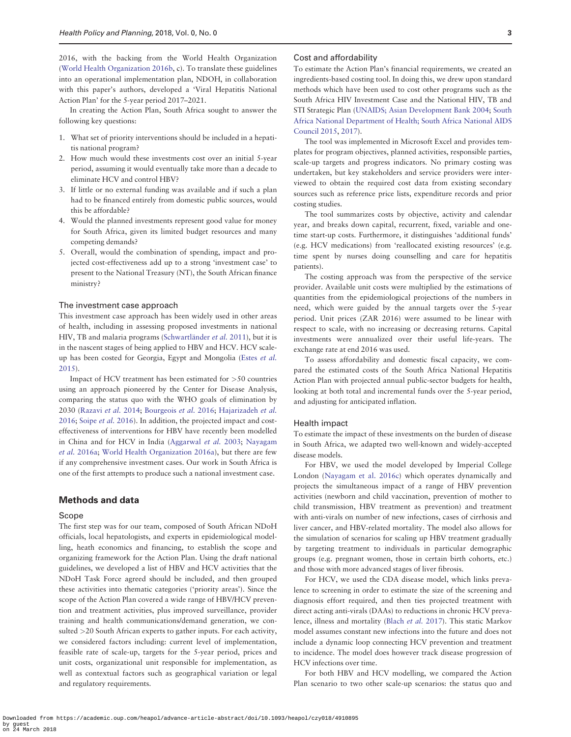2016, with the backing from the World Health Organization ([World Health Organization 2016b](#page-10-0), c). To translate these guidelines into an operational implementation plan, NDOH, in collaboration with this paper's authors, developed a 'Viral Hepatitis National Action Plan' for the 5-year period 2017–2021.

In creating the Action Plan, South Africa sought to answer the following key questions:

- 1. What set of priority interventions should be included in a hepatitis national program?
- 2. How much would these investments cost over an initial 5-year period, assuming it would eventually take more than a decade to eliminate HCV and control HBV?
- 3. If little or no external funding was available and if such a plan had to be financed entirely from domestic public sources, would this be affordable?
- 4. Would the planned investments represent good value for money for South Africa, given its limited budget resources and many competing demands?
- 5. Overall, would the combination of spending, impact and projected cost-effectiveness add up to a strong 'investment case' to present to the National Treasury (NT), the South African finance ministry?

#### The investment case approach

This investment case approach has been widely used in other areas of health, including in assessing proposed investments in national HIV, TB and malaria programs (Schwartländer et al. 2011), but it is in the nascent stages of being applied to HBV and HCV. HCV scaleup has been costed for Georgia, Egypt and Mongolia (Estes [et al.](#page-9-0) [2015\)](#page-9-0).

Impact of HCV treatment has been estimated for >50 countries using an approach pioneered by the Center for Disease Analysis, comparing the status quo with the WHO goals of elimination by 2030 [\(Razavi](#page-9-0) et al. 2014; [Bourgeois](#page-9-0) et al. 2016; [Hajarizadeh](#page-9-0) et al. [2016;](#page-9-0) [Soipe](#page-10-0) et al. 2016). In addition, the projected impact and costeffectiveness of interventions for HBV have recently been modelled in China and for HCV in India [\(Aggarwal](#page-9-0) et al. 2003; [Nayagam](#page-9-0) et al. [2016a;](#page-9-0) [World Health Organization 2016a](#page-10-0)), but there are few if any comprehensive investment cases. Our work in South Africa is one of the first attempts to produce such a national investment case.

#### Methods and data

#### Scope

The first step was for our team, composed of South African NDoH officials, local hepatologists, and experts in epidemiological modelling, heath economics and financing, to establish the scope and organizing framework for the Action Plan. Using the draft national guidelines, we developed a list of HBV and HCV activities that the NDoH Task Force agreed should be included, and then grouped these activities into thematic categories ('priority areas'). Since the scope of the Action Plan covered a wide range of HBV/HCV prevention and treatment activities, plus improved surveillance, provider training and health communications/demand generation, we consulted >20 South African experts to gather inputs. For each activity, we considered factors including: current level of implementation, feasible rate of scale-up, targets for the 5-year period, prices and unit costs, organizational unit responsible for implementation, as well as contextual factors such as geographical variation or legal and regulatory requirements.

#### Cost and affordability

To estimate the Action Plan's financial requirements, we created an ingredients-based costing tool. In doing this, we drew upon standard methods which have been used to cost other programs such as the South Africa HIV Investment Case and the National HIV, TB and STI Strategic Plan ([UNAIDS; Asian Development Bank 2004;](#page-10-0) [South](#page-10-0) [Africa National Department of Health; South Africa National AIDS](#page-10-0) [Council 2015,](#page-10-0) [2017\)](#page-10-0).

The tool was implemented in Microsoft Excel and provides templates for program objectives, planned activities, responsible parties, scale-up targets and progress indicators. No primary costing was undertaken, but key stakeholders and service providers were interviewed to obtain the required cost data from existing secondary sources such as reference price lists, expenditure records and prior costing studies.

The tool summarizes costs by objective, activity and calendar year, and breaks down capital, recurrent, fixed, variable and onetime start-up costs. Furthermore, it distinguishes 'additional funds' (e.g. HCV medications) from 'reallocated existing resources' (e.g. time spent by nurses doing counselling and care for hepatitis patients).

The costing approach was from the perspective of the service provider. Available unit costs were multiplied by the estimations of quantities from the epidemiological projections of the numbers in need, which were guided by the annual targets over the 5-year period. Unit prices (ZAR 2016) were assumed to be linear with respect to scale, with no increasing or decreasing returns. Capital investments were annualized over their useful life-years. The exchange rate at end 2016 was used.

To assess affordability and domestic fiscal capacity, we compared the estimated costs of the South Africa National Hepatitis Action Plan with projected annual public-sector budgets for health, looking at both total and incremental funds over the 5-year period, and adjusting for anticipated inflation.

#### Health impact

To estimate the impact of these investments on the burden of disease in South Africa, we adapted two well-known and widely-accepted disease models.

For HBV, we used the model developed by Imperial College London [\(Nayagam et al. 2016c](#page-9-0)) which operates dynamically and projects the simultaneous impact of a range of HBV prevention activities (newborn and child vaccination, prevention of mother to child transmission, HBV treatment as prevention) and treatment with anti-virals on number of new infections, cases of cirrhosis and liver cancer, and HBV-related mortality. The model also allows for the simulation of scenarios for scaling up HBV treatment gradually by targeting treatment to individuals in particular demographic groups (e.g. pregnant women, those in certain birth cohorts, etc.) and those with more advanced stages of liver fibrosis.

For HCV, we used the CDA disease model, which links prevalence to screening in order to estimate the size of the screening and diagnosis effort required, and then ties projected treatment with direct acting anti-virals (DAAs) to reductions in chronic HCV prevalence, illness and mortality [\(Blach](#page-9-0) et al. 2017). This static Markov model assumes constant new infections into the future and does not include a dynamic loop connecting HCV prevention and treatment to incidence. The model does however track disease progression of HCV infections over time.

For both HBV and HCV modelling, we compared the Action Plan scenario to two other scale-up scenarios: the status quo and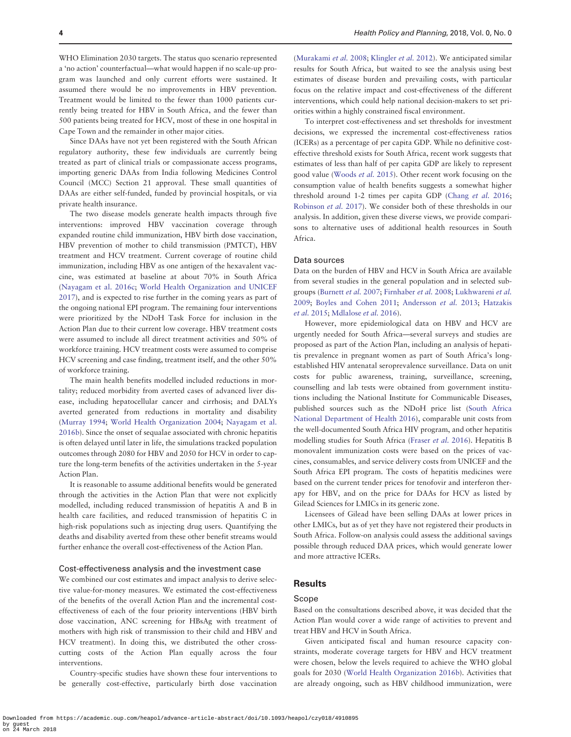WHO Elimination 2030 targets. The status quo scenario represented a 'no action' counterfactual—what would happen if no scale-up program was launched and only current efforts were sustained. It assumed there would be no improvements in HBV prevention. Treatment would be limited to the fewer than 1000 patients currently being treated for HBV in South Africa, and the fewer than 500 patients being treated for HCV, most of these in one hospital in Cape Town and the remainder in other major cities.

Since DAAs have not yet been registered with the South African regulatory authority, these few individuals are currently being treated as part of clinical trials or compassionate access programs, importing generic DAAs from India following Medicines Control Council (MCC) Section 21 approval. These small quantities of DAAs are either self-funded, funded by provincial hospitals, or via private health insurance.

The two disease models generate health impacts through five interventions: improved HBV vaccination coverage through expanded routine child immunization, HBV birth dose vaccination, HBV prevention of mother to child transmission (PMTCT), HBV treatment and HCV treatment. Current coverage of routine child immunization, including HBV as one antigen of the hexavalent vaccine, was estimated at baseline at about 70% in South Africa ([Nayagam et al. 2016c;](#page-9-0) [World Health Organization and UNICEF](#page-10-0) [2017\)](#page-10-0), and is expected to rise further in the coming years as part of the ongoing national EPI program. The remaining four interventions were prioritized by the NDoH Task Force for inclusion in the Action Plan due to their current low coverage. HBV treatment costs were assumed to include all direct treatment activities and 50% of workforce training. HCV treatment costs were assumed to comprise HCV screening and case finding, treatment itself, and the other 50% of workforce training.

The main health benefits modelled included reductions in mortality; reduced morbidity from averted cases of advanced liver disease, including hepatocellular cancer and cirrhosis; and DALYs averted generated from reductions in mortality and disability ([Murray 1994](#page-9-0); [World Health Organization 2004](#page-10-0); [Nayagam et al.](#page-9-0) [2016b](#page-9-0)). Since the onset of sequalae associated with chronic hepatitis is often delayed until later in life, the simulations tracked population outcomes through 2080 for HBV and 2050 for HCV in order to capture the long-term benefits of the activities undertaken in the 5-year Action Plan.

It is reasonable to assume additional benefits would be generated through the activities in the Action Plan that were not explicitly modelled, including reduced transmission of hepatitis A and B in health care facilities, and reduced transmission of hepatitis C in high-risk populations such as injecting drug users. Quantifying the deaths and disability averted from these other benefit streams would further enhance the overall cost-effectiveness of the Action Plan.

#### Cost-effectiveness analysis and the investment case

We combined our cost estimates and impact analysis to derive selective value-for-money measures. We estimated the cost-effectiveness of the benefits of the overall Action Plan and the incremental costeffectiveness of each of the four priority interventions (HBV birth dose vaccination, ANC screening for HBsAg with treatment of mothers with high risk of transmission to their child and HBV and HCV treatment). In doing this, we distributed the other crosscutting costs of the Action Plan equally across the four interventions.

Country-specific studies have shown these four interventions to be generally cost-effective, particularly birth dose vaccination

([Murakami](#page-9-0) et al. 2008; [Klingler](#page-9-0) et al. 2012). We anticipated similar results for South Africa, but waited to see the analysis using best estimates of disease burden and prevailing costs, with particular focus on the relative impact and cost-effectiveness of the different interventions, which could help national decision-makers to set priorities within a highly constrained fiscal environment.

To interpret cost-effectiveness and set thresholds for investment decisions, we expressed the incremental cost-effectiveness ratios (ICERs) as a percentage of per capita GDP. While no definitive costeffective threshold exists for South Africa, recent work suggests that estimates of less than half of per capita GDP are likely to represent good value [\(Woods](#page-10-0) et al. 2015). Other recent work focusing on the consumption value of health benefits suggests a somewhat higher threshold around 1-2 times per capita GDP [\(Chang](#page-9-0) et al. 2016; [Robinson](#page-9-0) et al. 2017). We consider both of these thresholds in our analysis. In addition, given these diverse views, we provide comparisons to alternative uses of additional health resources in South Africa.

#### Data sources

Data on the burden of HBV and HCV in South Africa are available from several studies in the general population and in selected subgroups [\(Burnett](#page-9-0) et al. 2007; [Firnhaber](#page-9-0) et al. 2008; [Lukhwareni](#page-9-0) et al. [2009;](#page-9-0) [Boyles and Cohen 2011;](#page-9-0) [Andersson](#page-9-0) et al. 2013; [Hatzakis](#page-9-0) et al. [2015](#page-9-0); [Mdlalose](#page-9-0) et al. 2016).

However, more epidemiological data on HBV and HCV are urgently needed for South Africa—several surveys and studies are proposed as part of the Action Plan, including an analysis of hepatitis prevalence in pregnant women as part of South Africa's longestablished HIV antenatal seroprevalence surveillance. Data on unit costs for public awareness, training, surveillance, screening, counselling and lab tests were obtained from government institutions including the National Institute for Communicable Diseases, published sources such as the NDoH price list ([South Africa](#page-10-0) [National Department of Health 2016\)](#page-10-0), comparable unit costs from the well-documented South Africa HIV program, and other hepatitis modelling studies for South Africa ([Fraser](#page-9-0) et al. 2016). Hepatitis B monovalent immunization costs were based on the prices of vaccines, consumables, and service delivery costs from UNICEF and the South Africa EPI program. The costs of hepatitis medicines were based on the current tender prices for tenofovir and interferon therapy for HBV, and on the price for DAAs for HCV as listed by Gilead Sciences for LMICs in its generic zone.

Licensees of Gilead have been selling DAAs at lower prices in other LMICs, but as of yet they have not registered their products in South Africa. Follow-on analysis could assess the additional savings possible through reduced DAA prices, which would generate lower and more attractive ICERs.

#### Results

#### Scope

Based on the consultations described above, it was decided that the Action Plan would cover a wide range of activities to prevent and treat HBV and HCV in South Africa.

Given anticipated fiscal and human resource capacity constraints, moderate coverage targets for HBV and HCV treatment were chosen, below the levels required to achieve the WHO global goals for 2030 ([World Health Organization 2016b\)](#page-10-0). Activities that are already ongoing, such as HBV childhood immunization, were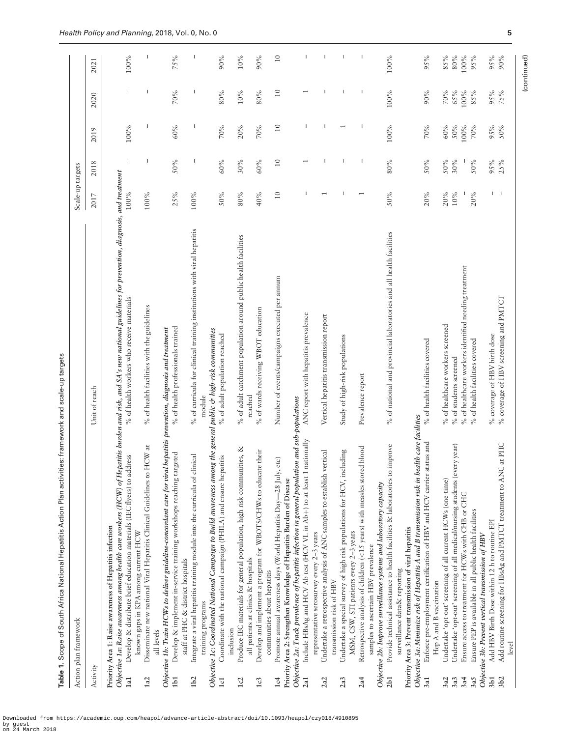| j<br>֦֧֦֧֜  |
|-------------|
| i<br>:<br>: |
| :<br>;      |
| Ξ           |
|             |
| l           |
|             |
|             |
|             |
|             |
|             |
| I           |
| C<br>Ĵ<br>l |

<span id="page-4-0"></span>

|                 | Action plan framework                                                                                                                                                                                                                                                                                      |                                                                            | Scale-up targets          |                          |                          |                          |                          |
|-----------------|------------------------------------------------------------------------------------------------------------------------------------------------------------------------------------------------------------------------------------------------------------------------------------------------------------|----------------------------------------------------------------------------|---------------------------|--------------------------|--------------------------|--------------------------|--------------------------|
| Activity        |                                                                                                                                                                                                                                                                                                            | Unit of reach                                                              | 2017                      | 2018                     | 2019                     | 2020                     | 2021                     |
| 1a1             | Objective 1a: Raise awareness among health care workers (HCW) of Hepatitis burden and risk, and SA's new national guidelines for prevention, diagnosis, and treatment<br>Develop & distribute brief education materials (IEC flyers) to address<br>Priority Area 1: Raise awareness of Hepatitis infection | % of health workers who receive materials                                  | 100%                      | $\overline{1}$           | 100%                     | $\mathsf{I}$             | 100%                     |
| 1a2             | HCW at<br>Disseminate new national Viral Hepatitis Clinical Guidelines to<br>known gaps in KPA among current HCW                                                                                                                                                                                           | % of health facilities with the guidelines                                 | 100%                      | T                        |                          |                          |                          |
| 1 <sub>b1</sub> | Objective 1b: Train HCWs to deliver guideline-concordant care for viral hepatitis prevention, diagnosis and treatment<br>Develop & implement in-service training workshops reaching targeted<br>all levels                                                                                                 | % of health professionals trained                                          | 25%                       | 50%                      | 60%                      | 70%                      | 75%                      |
| 1 <sub>b2</sub> | Integrate a viral hepatitis training module into the curricula of clinical<br>staff at PHC & district hospitals                                                                                                                                                                                            | % of curricula for clinical training institutions with viral hepatitis     | 100%                      | I                        |                          | H                        | I                        |
| 1c1             | Objective 1c: Coordinated National Campaign to Build awareness among the general public & high-risk communities<br>Coordinate with the national campaign (PHILA) and ensure hepatitis<br>training programs                                                                                                 | % of adult population reached<br>module                                    | 50%                       | 60%                      | 70%                      | 80%                      | 90%                      |
|                 | inclusion                                                                                                                                                                                                                                                                                                  |                                                                            |                           |                          |                          |                          |                          |
| 1c2             | Produce IEC materials for general population, high risk communities, &<br>all patients at clinics & hospitals                                                                                                                                                                                              | % of adult catchment population around public health facilities<br>reached | 80%                       | 30%                      | 20%                      | 10%                      | 10%                      |
| 1c3             | Develop and implement a program for WBOTS/CHWs to educate their<br>communities about hepatitis                                                                                                                                                                                                             | % of wards receiving WBOT education                                        | 40%                       | 60%                      | 70%                      | 80%                      | 90%                      |
| 1c <sub>4</sub> | etc)<br>Promote annual awareness days (World Hepatitis Day-28 July,<br>Priority Area 2: Strengthen Knowledge of Hepatitis Burden of Disease                                                                                                                                                                | Number of events/campaigns executed per annum                              | $\overline{10}$           | 10                       | $\overline{10}$          | $\overline{10}$          | $10\,$                   |
| 2a1             | Objective 2a: Track prevalence of hepatitis infection in general population and sub-populations<br>Include HBsAg and HCV Ab test (HCV VL in Ab+) to at least 1 nationally                                                                                                                                  | ANC report with hepatitis prevalence                                       |                           | $\overline{\phantom{0}}$ |                          | $\overline{\phantom{0}}$ | $\overline{1}$           |
| 2a2             | Undertake a retrospective analysis of ANC samples to establish vertical<br>representative serosurvey every $2-3$ years<br>transmission risk of HBV                                                                                                                                                         | Vertical hepatitis transmission report                                     |                           |                          |                          |                          | $\overline{1}$           |
| 2a3             | Undertake a special survey of high risk populations for HCV, including                                                                                                                                                                                                                                     | Study of high-risk populations                                             |                           |                          | $\overline{\phantom{0}}$ |                          | $\overline{\phantom{a}}$ |
| 2a4             | Retrospective analysis of children (<15 years) with measles stored blood<br>MSM, CSW, STI patients every 2-3 years<br>samples to ascertain HBV prevalence                                                                                                                                                  | Prevalence report                                                          | $\overline{ }$            |                          |                          |                          |                          |
| 2b1             | Provide technical assistance to health facilities & laboratories to improve<br>Objective 2b: Improve surveillance systems and laboratory capacity<br>surveillance data& reporting                                                                                                                          | % of national and provincial laboratories and all health facilities        | 50%                       | 80%                      | 100%                     | 100%                     | 100%                     |
| 3a1             | Objective 3a: Minimize risk of Hepatitis A and B transmission risk in health care facilities<br>Enforce pre-employment certification of HBV and HCV carrier status and<br>Priority Area 3: Prevent transmission of viral hepatitis                                                                         | % of health facilities covered                                             | 20%                       | 50%                      | 70%                      | 90%                      | 95%                      |
|                 | Hep A and B vaccination                                                                                                                                                                                                                                                                                    |                                                                            |                           |                          |                          |                          |                          |
| 3a3<br>3a2      | Undertake 'opt-out' screening of all current HCWs (one-time)                                                                                                                                                                                                                                               | % of healthcare workers screened<br>$\%$ of students screened              | 20%<br>$10\%$             | 50%<br>30%               | 60%<br>50%               | 70%<br>65%               | 85%<br>$80\%$            |
| 3a4             | Undertake 'opt-out' screening of all medical/nursing students (every year)<br>Ensure access to treatment for HCWs with CHB or CHC                                                                                                                                                                          | $\%$ of healthcare workers identified needing treatment                    |                           |                          | 100%                     | 100%                     | 100%                     |
| 3a5             | Ensure PEP is available in all public health facilities                                                                                                                                                                                                                                                    | % of health facilities covered                                             | 20%                       | 50%                      | 70%                      | 85%                      | 95%                      |
| 3 <sub>b1</sub> | Add HBV Birth Dose within 12 h to routine EPI<br>Objective 3b: Prevent vertical transmission of HBV                                                                                                                                                                                                        | % coverage of HBV birth dose                                               |                           | 95%                      | 95%                      | 95%                      | 95%                      |
| 3 <sub>b2</sub> | Add routine screening for HBsAg and PMTCT treatment to ANC at PHC<br>level                                                                                                                                                                                                                                 | % coverage of HBV screening and PMTCT                                      | $\mathbf{I}$ $\mathbf{I}$ | 25%                      | 50%                      | 75%                      | 90%                      |
|                 |                                                                                                                                                                                                                                                                                                            |                                                                            |                           |                          |                          |                          | (continued)              |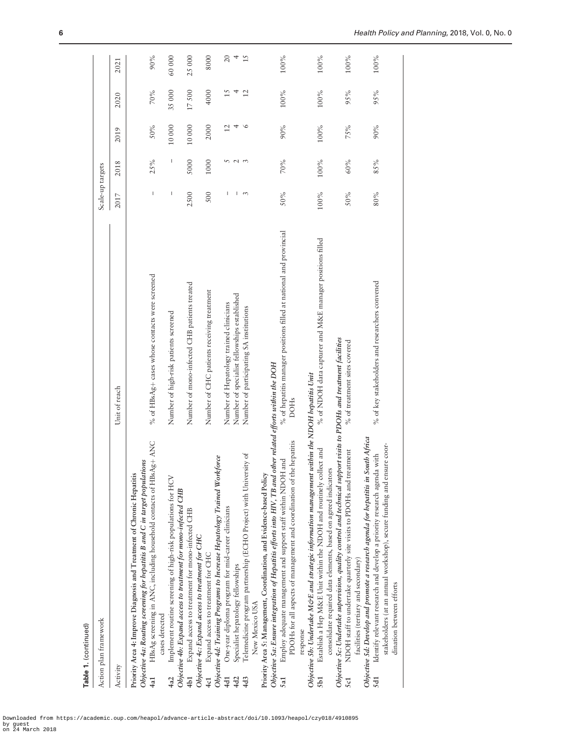Table 1. (continued) Table 1. (continued)

| lamana l. \v. i prana l                                                                                                                                                                                                                                                 |                                                                                         |                  |        |                      |         |                     |
|-------------------------------------------------------------------------------------------------------------------------------------------------------------------------------------------------------------------------------------------------------------------------|-----------------------------------------------------------------------------------------|------------------|--------|----------------------|---------|---------------------|
| Action plan framework                                                                                                                                                                                                                                                   |                                                                                         | Scale-up targets |        |                      |         |                     |
| Activity                                                                                                                                                                                                                                                                | Unit of reach                                                                           | 2017             | 2018   | 2019                 | 2020    | 2021                |
| HBsAg screening in ANC, including household contacts of HBsAg+ ANC<br>Objective 4a: Routing screening for hepatitis B and C in target populations<br>Priority Area 4: Improve Diagnosis and Treatment of Chronic Hepatitis<br>cases detected<br>4a1                     | % of HBsAg+ cases whose contacts were screened                                          | I                | 25%    | 50%                  | 70%     | 90%                 |
| Implement routine screening of high-risk populations for HCV<br>Objective 4b: Expand access to treatment for mono-infected CHB                                                                                                                                          | Number of high-risk patients screened                                                   | I                | I      | 10000                | 35000   | 60000               |
| Expand access to treatment for mono-infected CHB<br>Objective 4c: Expand access to treatment for CHC                                                                                                                                                                    | Number of mono-infected CHB patients treated                                            | 2500             | 5000   | 10000                | 17500   | 25000               |
| Expand access to treatment for CHC<br>4c1                                                                                                                                                                                                                               | Number of CHC patients receiving treatment                                              | 500              | 1000   | 2000                 | 4000    | 8000                |
| Objective 4d: Training Programs to Increase Hepatology Trained Workforce<br>One-year diploma program for mid-career clinicians<br>Specialist hepatology fellowships<br>4d1<br>4d2                                                                                       | Number of specialist fellowships established<br>Number of Hepatology trained clinicians | I<br>L           | n      | $\overline{12}$<br>4 | 15<br>4 | $\overline{c}$<br>4 |
| Telemedicine program partnership (ECHO Project) with University of<br>4d3                                                                                                                                                                                               | Number of participating SA institutions                                                 | 3                | $\sim$ | $\circ$              | 12      | 15                  |
| Objective 5a: Ensure integration of Hepatitis efforts into HIV, TB and other related efforts within the DOH<br>Priority Area 5: Management, Coordination, and Evidence-based Policy<br>New Mexico USA                                                                   |                                                                                         |                  |        |                      |         |                     |
| PDOHs for all aspects of management and coordination of the hepatitis<br>Employ adequate management and support staff within NDOH and<br>5a1                                                                                                                            | % of hepatitis manager positions filled at national and provincial<br><b>DOHs</b>       | 50%              | 70%    | 90%                  | 100%    | 100%                |
| Objective 5b: Undertake M&E and strategic information management within the NDOH hepatitis Unit<br>Establish a Hep M&E Unit within the NDOH and routinely collect and<br>consolidate required data elements, based on agreed indicators<br>response<br>5b1              | % of NDOH data capturer and M&E manager positions filled                                | 100%             | 100%   | 100%                 | 100%    | 100%                |
| Objective 5c: Undertake supervision, quality control and technical support visits to PDOHs and treatment facilities<br>NDOH staff to undertake quarterly site visits to PDOHs and treatment<br>facilities (tertiary and secondary)<br>5c1                               | % of treatment sites covered                                                            | 50%              | 60%    | 75%                  | 95%     | 100%                |
| Objective 5d: Develop and promote a research agenda for hepatitis in South Africa<br>stakeholders (at an annual workshop), secure funding and ensure coor-<br>Identify relevant research and develop a priority research agenda with<br>dination between efforts<br>5d1 | % of key stakeholders and researchers convened                                          | 80%              | 85%    | 90%                  | 95%     | 100%                |
|                                                                                                                                                                                                                                                                         |                                                                                         |                  |        |                      |         |                     |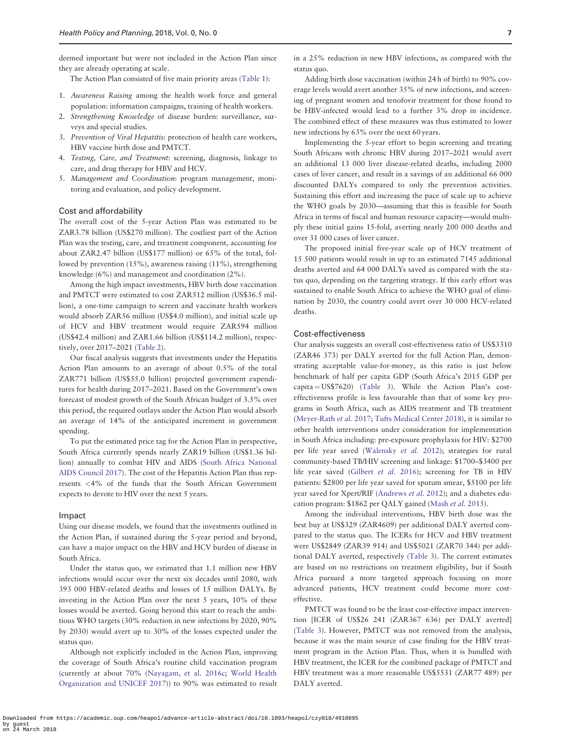deemed important but were not included in the Action Plan since they are already operating at scale.

The Action Plan consisted of five main priority areas [\(Table 1](#page-4-0)):

- 1. Awareness Raising among the health work force and general population: information campaigns, training of health workers.
- 2. Strengthening Knowledge of disease burden: surveillance, surveys and special studies.
- 3. Prevention of Viral Hepatitis: protection of health care workers, HBV vaccine birth dose and PMTCT.
- 4. Testing, Care, and Treatment: screening, diagnosis, linkage to care, and drug therapy for HBV and HCV.
- 5. Management and Coordination: program management, monitoring and evaluation, and policy development.

#### Cost and affordability

The overall cost of the 5-year Action Plan was estimated to be ZAR3.78 billion (US\$270 million). The costliest part of the Action Plan was the testing, care, and treatment component, accounting for about ZAR2.47 billion (US\$177 million) or 65% of the total, followed by prevention (15%), awareness raising (11%), strengthening knowledge (6%) and management and coordination (2%).

Among the high impact investments, HBV birth dose vaccination and PMTCT were estimated to cost ZAR512 million (US\$36.5 million), a one-time campaign to screen and vaccinate health workers would absorb ZAR56 million (US\$4.0 million), and initial scale up of HCV and HBV treatment would require ZAR594 million (US\$42.4 million) and ZAR1.66 billion (US\$114.2 million), respectively, over 2017–2021 [\(Table 2\)](#page-7-0).

Our fiscal analysis suggests that investments under the Hepatitis Action Plan amounts to an average of about 0.5% of the total ZAR771 billion (US\$55.0 billion) projected government expenditures for health during 2017–2021. Based on the Government's own forecast of modest growth of the South African budget of 3.5% over this period, the required outlays under the Action Plan would absorb an average of 14% of the anticipated increment in government spending.

To put the estimated price tag for the Action Plan in perspective, South Africa currently spends nearly ZAR19 billion (US\$1.36 billion) annually to combat HIV and AIDS ([South Africa National](#page-10-0) [AIDS Council 2017\)](#page-10-0). The cost of the Hepatitis Action Plan thus represents <4% of the funds that the South African Government expects to devote to HIV over the next 5 years.

#### Impact

Using our disease models, we found that the investments outlined in the Action Plan, if sustained during the 5-year period and beyond, can have a major impact on the HBV and HCV burden of disease in South Africa.

Under the status quo, we estimated that 1.1 million new HBV infections would occur over the next six decades until 2080, with 393 000 HBV-related deaths and losses of 15 million DALYs. By investing in the Action Plan over the next 5 years, 10% of these losses would be averted. Going beyond this start to reach the ambitious WHO targets (30% reduction in new infections by 2020, 90% by 2030) would avert up to 30% of the losses expected under the status quo.

Although not explicitly included in the Action Plan, improving the coverage of South Africa's routine child vaccination program (currently at about 70% [\(Nayagam, et al. 2016c](#page-9-0); [World Health](#page-10-0) [Organization and UNICEF 2017](#page-10-0))) to 90% was estimated to result

Adding birth dose vaccination (within 24 h of birth) to 90% coverage levels would avert another 35% of new infections, and screening of pregnant women and tenofovir treatment for those found to be HBV-infected would lead to a further 3% drop in incidence. The combined effect of these measures was thus estimated to lower new infections by 63% over the next 60 years.

Implementing the 5-year effort to begin screening and treating South Africans with chronic HBV during 2017–2021 would avert an additional 13 000 liver disease-related deaths, including 2000 cases of liver cancer, and result in a savings of an additional 66 000 discounted DALYs compared to only the prevention activities. Sustaining this effort and increasing the pace of scale up to achieve the WHO goals by 2030—assuming that this is feasible for South Africa in terms of fiscal and human resource capacity—would multiply these initial gains 15-fold, averting nearly 200 000 deaths and over 31 000 cases of liver cancer.

The proposed initial five-year scale up of HCV treatment of 15 500 patients would result in up to an estimated 7145 additional deaths averted and 64 000 DALYs saved as compared with the status quo, depending on the targeting strategy. If this early effort was sustained to enable South Africa to achieve the WHO goal of elimination by 2030, the country could avert over 30 000 HCV-related deaths.

#### Cost-effectiveness

Our analysis suggests an overall cost-effectiveness ratio of US\$3310 (ZAR46 373) per DALY averted for the full Action Plan, demonstrating acceptable value-for-money, as this ratio is just below benchmark of half per capita GDP (South Africa's 2015 GDP per  $capita = US$7620$  ([Table 3](#page-7-0)). While the Action Plan's costeffectiveness profile is less favourable than that of some key programs in South Africa, such as AIDS treatment and TB treatment ([Meyer-Rath](#page-9-0) et al. 2017; [Tufts Medical Center 2018](#page-10-0)), it is similar to other health interventions under consideration for implementation in South Africa including: pre-exposure prophylaxis for HIV: \$2700 per life year saved ([Walensky](#page-10-0) et al. 2012); strategies for rural community-based TB/HIV screening and linkage: \$1700–\$3400 per life year saved [\(Gilbert](#page-9-0) et al. 2016); screening for TB in HIV patients: \$2800 per life year saved for sputum smear, \$5100 per life year saved for Xpert/RIF ([Andrews](#page-9-0) et al. 2012); and a diabetes education program: \$1862 per QALY gained ([Mash](#page-9-0) et al. 2015).

Among the individual interventions, HBV birth dose was the best buy at US\$329 (ZAR4609) per additional DALY averted compared to the status quo. The ICERs for HCV and HBV treatment were US\$2849 (ZAR39 914) and US\$5021 (ZAR70 344) per additional DALY averted, respectively [\(Table 3](#page-7-0)). The current estimates are based on no restrictions on treatment eligibility, but if South Africa pursued a more targeted approach focusing on more advanced patients, HCV treatment could become more costeffective.

PMTCT was found to be the least cost-effective impact intervention [ICER of US\$26 241 (ZAR367 636) per DALY averted] ([Table 3\)](#page-7-0). However, PMTCT was not removed from the analysis, because it was the main source of case finding for the HBV treatment program in the Action Plan. Thus, when it is bundled with HBV treatment, the ICER for the combined package of PMTCT and HBV treatment was a more reasonable US\$5531 (ZAR77 489) per DALY averted.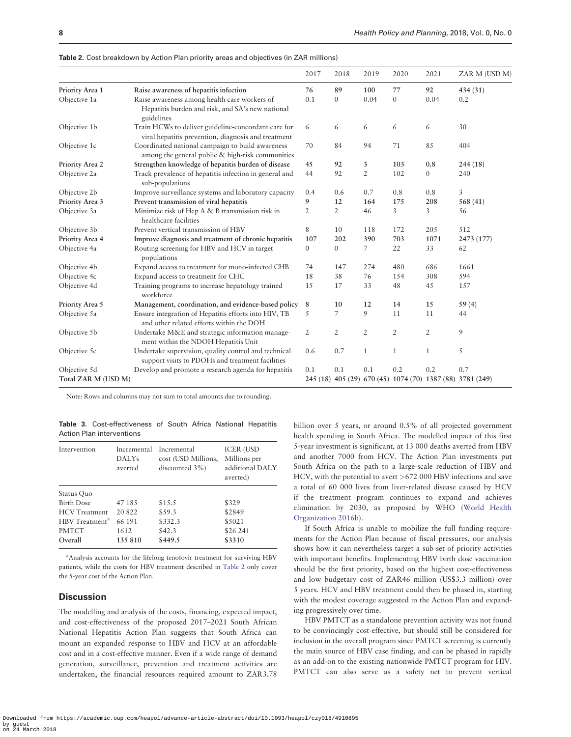|                     |                                                                                                                | 2017           | 2018           | 2019           | 2020           | 2021           | ZAR M (USD M)                                             |
|---------------------|----------------------------------------------------------------------------------------------------------------|----------------|----------------|----------------|----------------|----------------|-----------------------------------------------------------|
| Priority Area 1     | Raise awareness of hepatitis infection                                                                         | 76             | 89             | 100            | 77             | 92             | 434 (31)                                                  |
| Objective 1a        | Raise awareness among health care workers of<br>Hepatitis burden and risk, and SA's new national<br>guidelines | 0.1            | $\mathbf{0}$   | 0.04           | $\mathbf{0}$   | 0.04           | 0.2                                                       |
| Objective 1b        | Train HCWs to deliver guideline-concordant care for<br>viral hepatitis prevention, diagnosis and treatment     | 6              | 6              | 6              | 6              | 6              | 30                                                        |
| Objective 1c        | Coordinated national campaign to build awareness<br>among the general public & high-risk communities           | 70             | 84             | 94             | 71             | 85             | 404                                                       |
| Priority Area 2     | Strengthen knowledge of hepatitis burden of disease                                                            | 45             | 92             | 3              | 103            | 0.8            | 244(18)                                                   |
| Objective 2a        | Track prevalence of hepatitis infection in general and<br>sub-populations                                      | 44             | 92             | $\overline{2}$ | 102            | $\overline{0}$ | 240                                                       |
| Objective 2b        | Improve surveillance systems and laboratory capacity                                                           | 0.4            | 0.6            | 0.7            | 0.8            | 0.8            | 3                                                         |
| Priority Area 3     | Prevent transmission of viral hepatitis                                                                        | 9              | 12             | 164            | 175            | 208            | 568 (41)                                                  |
| Objective 3a        | Minimize risk of Hep A & B transmission risk in<br>healthcare facilities                                       | $\overline{2}$ | $\overline{2}$ | 46             | 3              | 3              | 56                                                        |
| Objective 3b        | Prevent vertical transmission of HBV                                                                           | 8              | 10             | 118            | 172            | 205            | 512                                                       |
| Priority Area 4     | Improve diagnosis and treatment of chronic hepatitis                                                           | 107            | 202            | 390            | 703            | 1071           | 2473 (177)                                                |
| Objective 4a        | Routing screening for HBV and HCV in target<br>populations                                                     | $\overline{0}$ | $\mathbf{0}$   | 7              | 22             | 33             | 62                                                        |
| Objective 4b        | Expand access to treatment for mono-infected CHB                                                               | 74             | 147            | 274            | 480            | 686            | 1661                                                      |
| Objective 4c        | Expand access to treatment for CHC                                                                             | 18             | 38             | 76             | 154            | 308            | 594                                                       |
| Objective 4d        | Training programs to increase hepatology trained<br>workforce                                                  | 15             | 17             | 33             | 48             | 45             | 157                                                       |
| Priority Area 5     | Management, coordination, and evidence-based policy                                                            | 8              | 10             | 12             | 14             | 15             | 59(4)                                                     |
| Objective 5a        | Ensure integration of Hepatitis efforts into HIV, TB<br>and other related efforts within the DOH               | 5              | 7              | 9              | 11             | 11             | 44                                                        |
| Objective 5b        | Undertake M&E and strategic information manage-<br>ment within the NDOH Hepatitis Unit                         | $\mathfrak{2}$ | $\overline{2}$ | $\overline{2}$ | $\overline{2}$ | $\overline{2}$ | 9                                                         |
| Objective 5c        | Undertake supervision, quality control and technical<br>support visits to PDOHs and treatment facilities       | 0.6            | 0.7            | $\mathbf{1}$   | $\mathbf{1}$   | $\mathbf{1}$   | 5                                                         |
| Objective 5d        | Develop and promote a research agenda for hepatitis                                                            | 0.1            | 0.1            | 0.1            | 0.2            | 0.2            | 0.7                                                       |
| Total ZAR M (USD M) |                                                                                                                |                |                |                |                |                | 245 (18) 405 (29) 670 (45) 1074 (70) 1387 (88) 3781 (249) |

<span id="page-7-0"></span>Table 2. Cost breakdown by Action Plan priority areas and objectives (in ZAR millions)

Note: Rows and columns may not sum to total amounts due to rounding.

Table 3. Cost-effectiveness of South Africa National Hepatitis Action Plan interventions

| Intervention               | Incremental<br><b>DALYs</b><br>averted | Incremental<br>cost (USD Millions,<br>discounted $3\%$ ) | <b>ICER (USD</b><br>Millions per<br>additional DALY<br>averted) |
|----------------------------|----------------------------------------|----------------------------------------------------------|-----------------------------------------------------------------|
| Status Quo                 |                                        |                                                          |                                                                 |
| <b>Birth Dose</b>          | 47185                                  | \$15.5                                                   | \$329                                                           |
| <b>HCV</b> Treatment       | 20822                                  | \$59.3                                                   | \$2849                                                          |
| HBV Treatment <sup>a</sup> | 66 191                                 | \$332.3                                                  | \$5021                                                          |
| <b>PMTCT</b>               | 1612                                   | \$42.3                                                   | \$26 241                                                        |
| Overall                    | 135 810                                | \$449.5                                                  | \$3310                                                          |

<sup>a</sup> Analysis accounts for the lifelong tenofovir treatment for surviving HBV patients, while the costs for HBV treatment described in Table 2 only cover the 5-year cost of the Action Plan.

#### **Discussion**

The modelling and analysis of the costs, financing, expected impact, and cost-effectiveness of the proposed 2017–2021 South African National Hepatitis Action Plan suggests that South Africa can mount an expanded response to HBV and HCV at an affordable cost and in a cost-effective manner. Even if a wide range of demand generation, surveillance, prevention and treatment activities are undertaken, the financial resources required amount to ZAR3.78 billion over 5 years, or around 0.5% of all projected government health spending in South Africa. The modelled impact of this first 5-year investment is significant, at 13 000 deaths averted from HBV and another 7000 from HCV. The Action Plan investments put South Africa on the path to a large-scale reduction of HBV and HCV, with the potential to avert >672 000 HBV infections and save a total of 60 000 lives from liver-related disease caused by HCV if the treatment program continues to expand and achieves elimination by 2030, as proposed by WHO [\(World Health](#page-10-0) [Organization 2016b\)](#page-10-0).

If South Africa is unable to mobilize the full funding requirements for the Action Plan because of fiscal pressures, our analysis shows how it can nevertheless target a sub-set of priority activities with important benefits. Implementing HBV birth dose vaccination should be the first priority, based on the highest cost-effectiveness and low budgetary cost of ZAR46 million (US\$3.3 million) over 5 years. HCV and HBV treatment could then be phased in, starting with the modest coverage suggested in the Action Plan and expanding progressively over time.

HBV PMTCT as a standalone prevention activity was not found to be convincingly cost-effective, but should still be considered for inclusion in the overall program since PMTCT screening is currently the main source of HBV case finding, and can be phased in rapidly as an add-on to the existing nationwide PMTCT program for HIV. PMTCT can also serve as a safety net to prevent vertical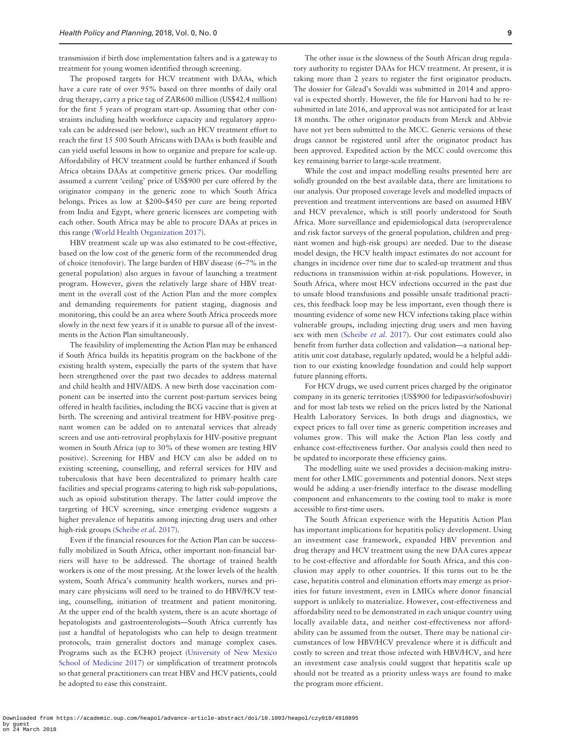transmission if birth dose implementation falters and is a gateway to treatment for young women identified through screening.

The proposed targets for HCV treatment with DAAs, which have a cure rate of over 95% based on three months of daily oral drug therapy, carry a price tag of ZAR600 million (US\$42.4 million) for the first 5 years of program start-up. Assuming that other constraints including health workforce capacity and regulatory approvals can be addressed (see below), such an HCV treatment effort to reach the first 15 500 South Africans with DAAs is both feasible and can yield useful lessons in how to organize and prepare for scale-up. Affordability of HCV treatment could be further enhanced if South Africa obtains DAAs at competitive generic prices. Our modelling assumed a current 'ceiling' price of US\$900 per cure offered by the originator company in the generic zone to which South Africa belongs. Prices as low at \$200–\$450 per cure are being reported from India and Egypt, where generic licensees are competing with each other. South Africa may be able to procure DAAs at prices in this range [\(World Health Organization 2017\)](#page-10-0).

HBV treatment scale up was also estimated to be cost-effective, based on the low cost of the generic form of the recommended drug of choice (tenofovir). The large burden of HBV disease (6–7% in the general population) also argues in favour of launching a treatment program. However, given the relatively large share of HBV treatment in the overall cost of the Action Plan and the more complex and demanding requirements for patient staging, diagnosis and monitoring, this could be an area where South Africa proceeds more slowly in the next few years if it is unable to pursue all of the investments in the Action Plan simultaneously.

The feasibility of implementing the Action Plan may be enhanced if South Africa builds its hepatitis program on the backbone of the existing health system, especially the parts of the system that have been strengthened over the past two decades to address maternal and child health and HIV/AIDS. A new birth dose vaccination component can be inserted into the current post-partum services being offered in health facilities, including the BCG vaccine that is given at birth. The screening and antiviral treatment for HBV-positive pregnant women can be added on to antenatal services that already screen and use anti-retroviral prophylaxis for HIV-positive pregnant women in South Africa (up to 30% of these women are testing HIV positive). Screening for HBV and HCV can also be added on to existing screening, counselling, and referral services for HIV and tuberculosis that have been decentralized to primary health care facilities and special programs catering to high risk sub-populations, such as opioid substitution therapy. The latter could improve the targeting of HCV screening, since emerging evidence suggests a higher prevalence of hepatitis among injecting drug users and other high-risk groups ([Scheibe](#page-9-0) et al. 2017).

Even if the financial resources for the Action Plan can be successfully mobilized in South Africa, other important non-financial barriers will have to be addressed. The shortage of trained health workers is one of the most pressing. At the lower levels of the health system, South Africa's community health workers, nurses and primary care physicians will need to be trained to do HBV/HCV testing, counselling, initiation of treatment and patient monitoring. At the upper end of the health system, there is an acute shortage of hepatologists and gastroenterologists—South Africa currently has just a handful of hepatologists who can help to design treatment protocols, train generalist doctors and manage complex cases. Programs such as the ECHO project [\(University of New Mexico](#page-10-0) [School of Medicine 2017](#page-10-0)) or simplification of treatment protocols so that general practitioners can treat HBV and HCV patients, could be adopted to ease this constraint.

The other issue is the slowness of the South African drug regulatory authority to register DAAs for HCV treatment. At present, it is taking more than 2 years to register the first originator products. The dossier for Gilead's Sovaldi was submitted in 2014 and approval is expected shortly. However, the file for Harvoni had to be resubmitted in late 2016, and approval was not anticipated for at least 18 months. The other originator products from Merck and Abbvie have not yet been submitted to the MCC. Generic versions of these drugs cannot be registered until after the originator product has been approved. Expedited action by the MCC could overcome this key remaining barrier to large-scale treatment.

While the cost and impact modelling results presented here are solidly grounded on the best available data, there are limitations to our analysis. Our proposed coverage levels and modelled impacts of prevention and treatment interventions are based on assumed HBV and HCV prevalence, which is still poorly understood for South Africa. More surveillance and epidemiological data (seroprevalence and risk factor surveys of the general population, children and pregnant women and high-risk groups) are needed. Due to the disease model design, the HCV health impact estimates do not account for changes in incidence over time due to scaled-up treatment and thus reductions in transmission within at-risk populations. However, in South Africa, where most HCV infections occurred in the past due to unsafe blood transfusions and possible unsafe traditional practices, this feedback loop may be less important, even though there is mounting evidence of some new HCV infections taking place within vulnerable groups, including injecting drug users and men having sex with men ([Scheibe](#page-9-0) et al. 2017). Our cost estimates could also benefit from further data collection and validation—a national hepatitis unit cost database, regularly updated, would be a helpful addition to our existing knowledge foundation and could help support future planning efforts.

For HCV drugs, we used current prices charged by the originator company in its generic territories (US\$900 for ledipasvir/sofosbuvir) and for most lab tests we relied on the prices listed by the National Health Laboratory Services. In both drugs and diagnostics, we expect prices to fall over time as generic competition increases and volumes grow. This will make the Action Plan less costly and enhance cost-effectiveness further. Our analysis could then need to be updated to incorporate these efficiency gains.

The modelling suite we used provides a decision-making instrument for other LMIC governments and potential donors. Next steps would be adding a user-friendly interface to the disease modelling component and enhancements to the costing tool to make is more accessible to first-time users.

The South African experience with the Hepatitis Action Plan has important implications for hepatitis policy development. Using an investment case framework, expanded HBV prevention and drug therapy and HCV treatment using the new DAA cures appear to be cost-effective and affordable for South Africa, and this conclusion may apply to other countries. If this turns out to be the case, hepatitis control and elimination efforts may emerge as priorities for future investment, even in LMICs where donor financial support is unlikely to materialize. However, cost-effectiveness and affordability need to be demonstrated in each unique country using locally available data, and neither cost-effectiveness nor affordability can be assumed from the outset. There may be national circumstances of low HBV/HCV prevalence where it is difficult and costly to screen and treat those infected with HBV/HCV, and here an investment case analysis could suggest that hepatitis scale up should not be treated as a priority unless ways are found to make the program more efficient.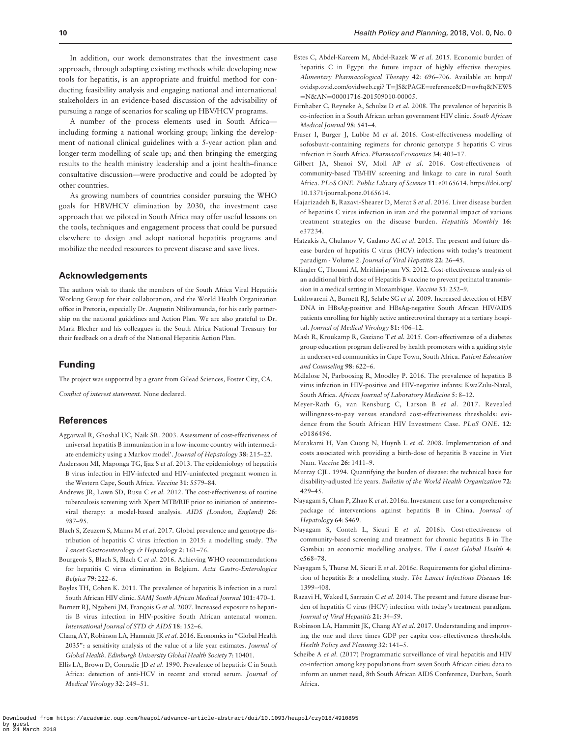<span id="page-9-0"></span>In addition, our work demonstrates that the investment case approach, through adapting existing methods while developing new tools for hepatitis, is an appropriate and fruitful method for conducting feasibility analysis and engaging national and international stakeholders in an evidence-based discussion of the advisability of pursuing a range of scenarios for scaling up HBV/HCV programs.

A number of the process elements used in South Africa including forming a national working group; linking the development of national clinical guidelines with a 5-year action plan and longer-term modelling of scale up; and then bringing the emerging results to the health ministry leadership and a joint health–finance consultative discussion—were productive and could be adopted by other countries.

As growing numbers of countries consider pursuing the WHO goals for HBV/HCV elimination by 2030, the investment case approach that we piloted in South Africa may offer useful lessons on the tools, techniques and engagement process that could be pursued elsewhere to design and adopt national hepatitis programs and mobilize the needed resources to prevent disease and save lives.

#### Acknowledgements

The authors wish to thank the members of the South Africa Viral Hepatitis Working Group for their collaboration, and the World Health Organization office in Pretoria, especially Dr. Augustin Ntilivamunda, for his early partnership on the national guidelines and Action Plan. We are also grateful to Dr. Mark Blecher and his colleagues in the South Africa National Treasury for their feedback on a draft of the National Hepatitis Action Plan.

#### Funding

The project was supported by a grant from Gilead Sciences, Foster City, CA.

Conflict of interest statement. None declared.

## **References**

- Aggarwal R, Ghoshal UC, Naik SR. 2003. Assessment of cost-effectiveness of universal hepatitis B immunization in a low-income country with intermediate endemicity using a Markov model'. Journal of Hepatology 38: 215–22.
- Andersson MI, Maponga TG, Ijaz S et al. 2013. The epidemiology of hepatitis B virus infection in HIV-infected and HIV-uninfected pregnant women in the Western Cape, South Africa. Vaccine 31: 5579–84.
- Andrews JR, Lawn SD, Rusu C et al. 2012. The cost-effectiveness of routine tuberculosis screening with Xpert MTB/RIF prior to initiation of antiretroviral therapy: a model-based analysis. AIDS (London, England) 26: 987–95.
- Blach S, Zeuzem S, Manns M et al. 2017. Global prevalence and genotype distribution of hepatitis C virus infection in 2015: a modelling study. The Lancet Gastroenterology & Hepatology 2: 161-76.
- Bourgeois S, Blach S, Blach C et al. 2016. Achieving WHO recommendations for hepatitis C virus elimination in Belgium. Acta Gastro-Enterologica Belgica 79: 222–6.
- Boyles TH, Cohen K. 2011. The prevalence of hepatitis B infection in a rural South African HIV clinic. SAMJ South African Medical Journal 101: 470–1.
- Burnett RJ, Ngobeni JM, François G et al. 2007. Increased exposure to hepatitis B virus infection in HIV-positive South African antenatal women. International Journal of STD & AIDS 18: 152-6.
- Chang AY, Robinson LA, Hammitt JK et al. 2016. Economics in "Global Health 2035": a sensitivity analysis of the value of a life year estimates. Journal of Global Health. Edinburgh University Global Health Society 7: 10401.
- Ellis LA, Brown D, Conradie JD et al. 1990. Prevalence of hepatitis C in South Africa: detection of anti-HCV in recent and stored serum. Journal of Medical Virology 32: 249–51.
- Estes C, Abdel-Kareem M, Abdel-Razek W et al. 2015. Economic burden of hepatitis C in Egypt: the future impact of highly effective therapies. Alimentary Pharmacological Therapy 42: 696–706. Available at: [http://](http://ovidsp.ovid.com/ovidweb.cgi? T=JS&hx0026;PAGE=reference&hx0026;D=ovftq&hx0026;NEWS=N&hx0026;AN=00001716-201509010-00005) [ovidsp.ovid.com/ovidweb.cgi? T](http://ovidsp.ovid.com/ovidweb.cgi? T=JS&hx0026;PAGE=reference&hx0026;D=ovftq&hx0026;NEWS=N&hx0026;AN=00001716-201509010-00005)=[JS&PAGE](http://ovidsp.ovid.com/ovidweb.cgi? T=JS&hx0026;PAGE=reference&hx0026;D=ovftq&hx0026;NEWS=N&hx0026;AN=00001716-201509010-00005)=[reference&D](http://ovidsp.ovid.com/ovidweb.cgi? T=JS&hx0026;PAGE=reference&hx0026;D=ovftq&hx0026;NEWS=N&hx0026;AN=00001716-201509010-00005)=[ovftq&NEWS](http://ovidsp.ovid.com/ovidweb.cgi? T=JS&hx0026;PAGE=reference&hx0026;D=ovftq&hx0026;NEWS=N&hx0026;AN=00001716-201509010-00005) =[N&AN](http://ovidsp.ovid.com/ovidweb.cgi? T=JS&hx0026;PAGE=reference&hx0026;D=ovftq&hx0026;NEWS=N&hx0026;AN=00001716-201509010-00005)=[00001716-201509010-00005.](http://ovidsp.ovid.com/ovidweb.cgi? T=JS&hx0026;PAGE=reference&hx0026;D=ovftq&hx0026;NEWS=N&hx0026;AN=00001716-201509010-00005)
- Firnhaber C, Reyneke A, Schulze D et al. 2008. The prevalence of hepatitis B co-infection in a South African urban government HIV clinic. South African Medical Journal 98: 541–4.
- Fraser I, Burger J, Lubbe M et al. 2016. Cost-effectiveness modelling of sofosbuvir-containing regimens for chronic genotype 5 hepatitis C virus infection in South Africa. PharmacoEconomics 34: 403–17.
- Gilbert JA, Shenoi SV, Moll AP et al. 2016. Cost-effectiveness of community-based TB/HIV screening and linkage to care in rural South Africa. PLoS ONE. Public Library of Science 11: e0165614. [https://doi.org/](https://doi.org/10.1371/journal.pone.0165614) [10.1371/journal.pone.0165614.](https://doi.org/10.1371/journal.pone.0165614)
- Hajarizadeh B, Razavi-Shearer D, Merat S et al. 2016. Liver disease burden of hepatitis C virus infection in iran and the potential impact of various treatment strategies on the disease burden. Hepatitis Monthly 16: e37234.
- Hatzakis A, Chulanov V, Gadano AC et al. 2015. The present and future disease burden of hepatitis C virus (HCV) infections with today's treatment paradigm - Volume 2. Journal of Viral Hepatitis 22: 26–45.
- Klingler C, Thoumi AI, Mrithinjayam VS. 2012. Cost-effectiveness analysis of an additional birth dose of Hepatitis B vaccine to prevent perinatal transmission in a medical setting in Mozambique. Vaccine 31: 252–9.
- Lukhwareni A, Burnett RJ, Selabe SG et al. 2009. Increased detection of HBV DNA in HBsAg-positive and HBsAg-negative South African HIV/AIDS patients enrolling for highly active antiretroviral therapy at a tertiary hospital. Journal of Medical Virology 81: 406–12.
- Mash R, Kroukamp R, Gaziano T et al. 2015. Cost-effectiveness of a diabetes group education program delivered by health promoters with a guiding style in underserved communities in Cape Town, South Africa. Patient Education and Counseling 98: 622–6.
- Mdlalose N, Parboosing R, Moodley P. 2016. The prevalence of hepatitis B virus infection in HIV-positive and HIV-negative infants: KwaZulu-Natal, South Africa. African Journal of Laboratory Medicine 5: 8–12.
- Meyer-Rath G, van Rensburg C, Larson B et al. 2017. Revealed willingness-to-pay versus standard cost-effectiveness thresholds: evidence from the South African HIV Investment Case. PLoS ONE. 12: e0186496.
- Murakami H, Van Cuong N, Huynh L et al. 2008. Implementation of and costs associated with providing a birth-dose of hepatitis B vaccine in Viet Nam. Vaccine 26: 1411–9.
- Murray CJL. 1994. Quantifying the burden of disease: the technical basis for disability-adjusted life years. Bulletin of the World Health Organization 72: 429–45.
- Nayagam S, Chan P, Zhao K et al. 2016a. Investment case for a comprehensive package of interventions against hepatitis B in China. Journal of Hepatology 64: S469.
- Nayagam S, Conteh L, Sicuri E et al. 2016b. Cost-effectiveness of community-based screening and treatment for chronic hepatitis B in The Gambia: an economic modelling analysis. The Lancet Global Health 4: e568–78.
- Nayagam S, Thursz M, Sicuri E et al. 2016c. Requirements for global elimination of hepatitis B: a modelling study. The Lancet Infectious Diseases 16: 1399–408.
- Razavi H, Waked I, Sarrazin C et al. 2014. The present and future disease burden of hepatitis C virus (HCV) infection with today's treatment paradigm. Journal of Viral Hepatitis 21: 34–59.
- Robinson LA, Hammitt JK, Chang AY et al. 2017. Understanding and improving the one and three times GDP per capita cost-effectiveness thresholds. Health Policy and Planning 32: 141–5.
- Scheibe A et al. (2017) Programmatic surveillance of viral hepatitis and HIV co-infection among key populations from seven South African cities: data to inform an unmet need, 8th South African AIDS Conference, Durban, South Africa.